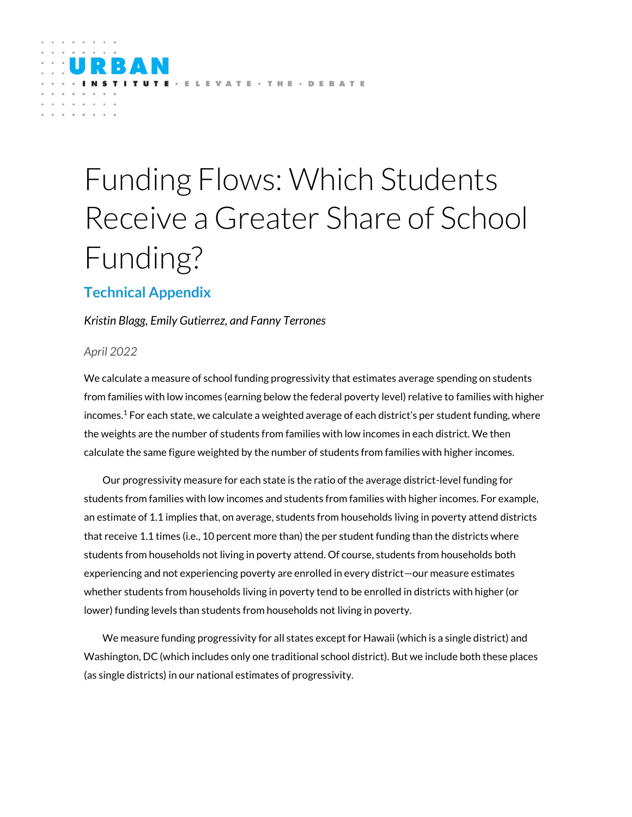# Funding Flows: Which Students Receive a Greater Share of School Funding?

TE - ELEVATE - THE - DEBATE

## **Technical Appendix**

### *Kristin Blagg, Emily Gutierrez, and Fanny Terrones*

### *April 2022*

We calculate a measure of school funding progressivity that estimates average spending on students from families with low incomes (earning below the federal poverty level) relative to families with higher incomes.<sup>1</sup> For each state, we calculate a weighted average of each district's per student funding, where the weights are the number of students from families with low incomes in each district. We then calculate the same figure weighted by the number of students from families with higher incomes.

Our progressivity measure for each state is the ratio of the average district-level funding for students from families with low incomes and students from families with higher incomes. For example, an estimate of 1.1 implies that, on average, students from households living in poverty attend districts that receive 1.1 times (i.e., 10 percent more than) the per student funding than the districts where students from households not living in poverty attend. Of course, students from households both experiencing and not experiencing poverty are enrolled in every district—our measure estimates whether students from households living in poverty tend to be enrolled in districts with higher (or lower) funding levels than students from households not living in poverty.

We measure funding progressivity for all states except for Hawaii (which is a single district) and Washington, DC (which includes only one traditional school district). But we include both these places (as single districts) in our national estimates of progressivity.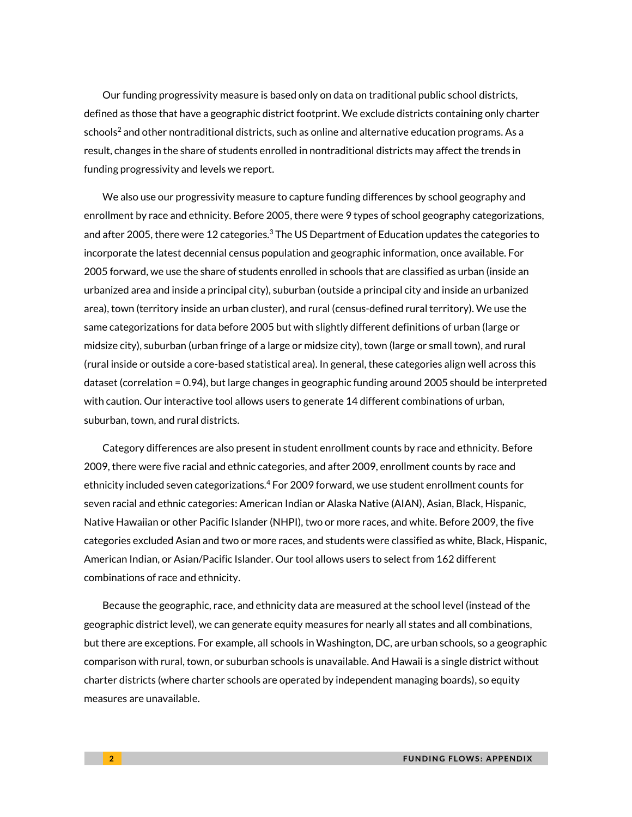Our funding progressivity measure is based only on data on traditional public school districts, defined as those that have a geographic district footprint. We exclude districts containing only charter schools<sup>2</sup> and other nontraditional districts, such as online and alternative education programs. As a result, changes in the share of students enrolled in nontraditional districts may affect the trends in funding progressivity and levels we report.

We also use our progressivity measure to capture funding differences by school geography and enrollment by race and ethnicity. Before 2005, there were 9 types of school geography categorizations, and after 2005, there were 12 categories.<sup>3</sup> The US Department of Education updates the categories to incorporate the latest decennial census population and geographic information, once available. For 2005 forward, we use the share of students enrolled in schools that are classified as urban (inside an urbanized area and inside a principal city), suburban (outside a principal city and inside an urbanized area), town (territory inside an urban cluster), and rural (census-defined rural territory). We use the same categorizations for data before 2005 but with slightly different definitions of urban (large or midsize city), suburban (urban fringe of a large or midsize city), town (large or small town), and rural (rural inside or outside a core-based statistical area). In general, these categories align well across this dataset (correlation = 0.94), but large changes in geographic funding around 2005 should be interpreted with caution. Our interactive tool allows users to generate 14 different combinations of urban, suburban, town, and rural districts.

Category differences are also present in student enrollment counts by race and ethnicity. Before 2009, there were five racial and ethnic categories, and after 2009, enrollment counts by race and ethnicity included seven categorizations.<sup>4</sup> For 2009 forward, we use student enrollment counts for seven racial and ethnic categories: American Indian or Alaska Native (AIAN), Asian, Black, Hispanic, Native Hawaiian or other Pacific Islander (NHPI), two or more races, and white. Before 2009, the five categories excluded Asian and two or more races, and students were classified as white, Black, Hispanic, American Indian, or Asian/Pacific Islander. Our tool allows users to select from 162 different combinations of race and ethnicity.

Because the geographic, race, and ethnicity data are measured at the school level (instead of the geographic district level), we can generate equity measures for nearly all states and all combinations, but there are exceptions. For example, all schools in Washington, DC, are urban schools, so a geographic comparison with rural, town, or suburban schools is unavailable. And Hawaii is a single district without charter districts (where charter schools are operated by independent managing boards), so equity measures are unavailable.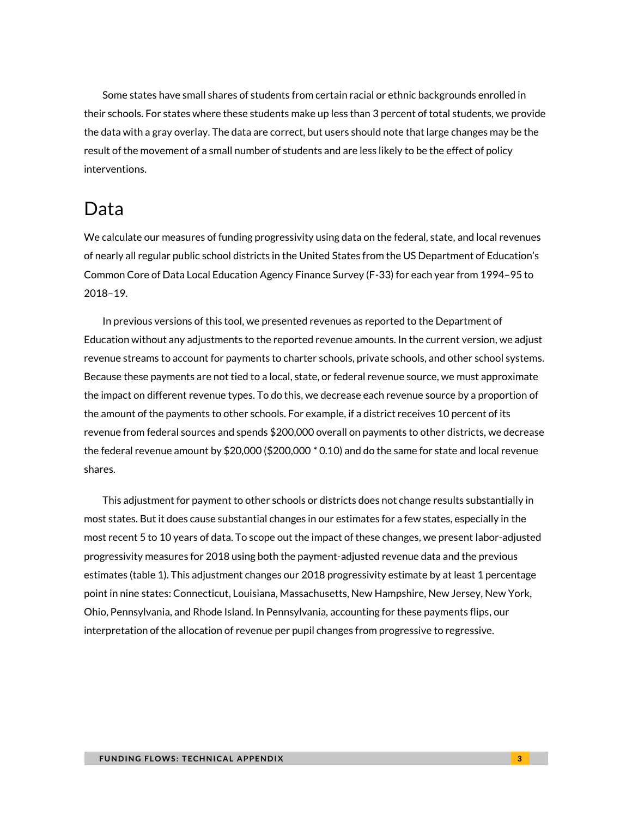Some states have small shares of students from certain racial or ethnic backgrounds enrolled in their schools. For states where these students make up less than 3 percent of total students, we provide the data with a gray overlay. The data are correct, but users should note that large changes may be the result of the movement of a small number of students and are less likely to be the effect of policy interventions.

# Data

We calculate our measures of funding progressivity using data on the federal, state, and local revenues of nearly all regular public school districts in the United States from the US Department of Education's Common Core of Data Local Education Agency Finance Survey (F-33) for each year from 1994–95 to 2018–19.

In previous versions of this tool, we presented revenues as reported to the Department of Education without any adjustments to the reported revenue amounts. In the current version, we adjust revenue streams to account for payments to charter schools, private schools, and other school systems. Because these payments are not tied to a local, state, or federal revenue source, we must approximate the impact on different revenue types. To do this, we decrease each revenue source by a proportion of the amount of the payments to other schools. For example, if a district receives 10 percent of its revenue from federal sources and spends \$200,000 overall on payments to other districts, we decrease the federal revenue amount by \$20,000 (\$200,000 \* 0.10) and do the same for state and local revenue shares.

This adjustment for payment to other schools or districts does not change results substantially in most states. But it does cause substantial changes in our estimates for a few states, especially in the most recent 5 to 10 years of data. To scope out the impact of these changes, we present labor-adjusted progressivity measures for 2018 using both the payment-adjusted revenue data and the previous estimates (table 1). This adjustment changes our 2018 progressivity estimate by at least 1 percentage point in nine states: Connecticut, Louisiana, Massachusetts, New Hampshire, New Jersey, New York, Ohio, Pennsylvania, and Rhode Island. In Pennsylvania, accounting for these payments flips, our interpretation of the allocation of revenue per pupil changes from progressive to regressive.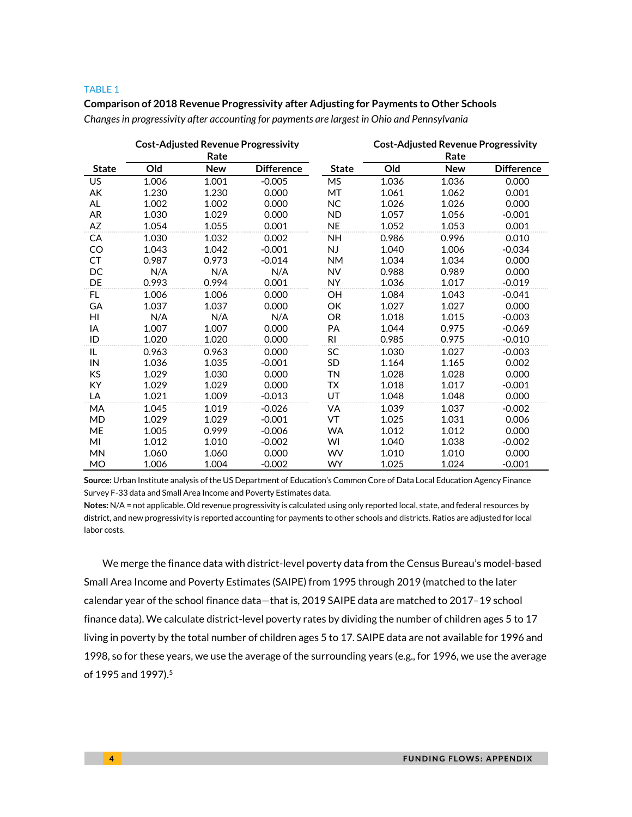#### TABLE 1

#### **Comparison of 2018 Revenue Progressivity after Adjusting for Payments to Other Schools**

*Changes in progressivity after accounting for payments are largest in Ohio and Pennsylvania*

|              | <b>Cost-Adjusted Revenue Progressivity</b><br>Rate |            |                   |              | <b>Cost-Adjusted Revenue Progressivity</b><br>Rate |            |                   |
|--------------|----------------------------------------------------|------------|-------------------|--------------|----------------------------------------------------|------------|-------------------|
| <b>State</b> | Old                                                | <b>New</b> | <b>Difference</b> | <b>State</b> | Old                                                | <b>New</b> | <b>Difference</b> |
| <b>US</b>    | 1.006                                              | 1.001      | $-0.005$          | <b>MS</b>    | 1.036                                              | 1.036      | 0.000             |
| АK           | 1.230                                              | 1.230      | 0.000             | MT           | 1.061                                              | 1.062      | 0.001             |
| AL           | 1.002                                              | 1.002      | 0.000             | <b>NC</b>    | 1.026                                              | 1.026      | 0.000             |
| AR           | 1.030                                              | 1.029      | 0.000             | <b>ND</b>    | 1.057                                              | 1.056      | $-0.001$          |
| AZ           | 1.054                                              | 1.055      | 0.001             | <b>NE</b>    | 1.052                                              | 1.053      | 0.001             |
| СA           | 1.030                                              | 1.032      | 0.002             | NΗ           | 0.986                                              | 0.996      | 0.010             |
| CO           | 1.043                                              | 1.042      | $-0.001$          | NJ           | 1.040                                              | 1.006      | $-0.034$          |
| CT           | 0.987                                              | 0.973      | $-0.014$          | <b>NM</b>    | 1.034                                              | 1.034      | 0.000             |
| DC           | N/A                                                | N/A        | N/A               | <b>NV</b>    | 0.988                                              | 0.989      | 0.000             |
| DE           | 0.993                                              | 0.994      | 0.001             | <b>NY</b>    | 1.036                                              | 1.017      | $-0.019$          |
| FL           | 1.006                                              | 1.006      | 0.000             | OН           | 1.084                                              | 1.043      | $-0.041$          |
| GA           | 1.037                                              | 1.037      | 0.000             | OK           | 1.027                                              | 1.027      | 0.000             |
| HI           | N/A                                                | N/A        | N/A               | <b>OR</b>    | 1.018                                              | 1.015      | $-0.003$          |
| ΙA           | 1.007                                              | 1.007      | 0.000             | PA           | 1.044                                              | 0.975      | $-0.069$          |
| ID           | 1.020                                              | 1.020      | 0.000             | RI.          | 0.985                                              | 0.975      | $-0.010$          |
| IL           | 0.963                                              | 0.963      | 0.000             | SC           | 1.030                                              | 1.027      | $-0.003$          |
| IN           | 1.036                                              | 1.035      | $-0.001$          | <b>SD</b>    | 1.164                                              | 1.165      | 0.002             |
| KS           | 1.029                                              | 1.030      | 0.000             | <b>TN</b>    | 1.028                                              | 1.028      | 0.000             |
| KY           | 1.029                                              | 1.029      | 0.000             | <b>TX</b>    | 1.018                                              | 1.017      | $-0.001$          |
| LA           | 1.021                                              | 1.009      | $-0.013$          | UT           | 1.048                                              | 1.048      | 0.000             |
| MA           | 1.045                                              | 1.019      | $-0.026$          | VA           | 1.039                                              | 1.037      | $-0.002$          |
| <b>MD</b>    | 1.029                                              | 1.029      | $-0.001$          | VT           | 1.025                                              | 1.031      | 0.006             |
| ME           | 1.005                                              | 0.999      | $-0.006$          | <b>WA</b>    | 1.012                                              | 1.012      | 0.000             |
| MI           | 1.012                                              | 1.010      | $-0.002$          | WI           | 1.040                                              | 1.038      | $-0.002$          |
| <b>MN</b>    | 1.060                                              | 1.060      | 0.000             | WV           | 1.010                                              | 1.010      | 0.000             |
| MO           | 1.006                                              | 1.004      | $-0.002$          | <b>WY</b>    | 1.025                                              | 1.024      | $-0.001$          |

**Source:** Urban Institute analysis of the US Department of Education's Common Core of Data Local Education Agency Finance Survey F-33 data and Small Area Income and Poverty Estimates data.

**Notes:** N/A = not applicable. Old revenue progressivity is calculated using only reported local, state, and federal resources by district, and new progressivity is reported accounting for payments to other schools and districts. Ratios are adjusted for local labor costs.

We merge the finance data with district-level poverty data from the Census Bureau's model-based Small Area Income and Poverty Estimates (SAIPE) from 1995 through 2019 (matched to the later calendar year of the school finance data—that is, 2019 SAIPE data are matched to 2017–19 school finance data). We calculate district-level poverty rates by dividing the number of children ages 5 to 17 living in poverty by the total number of children ages 5 to 17. SAIPE data are not available for 1996 and 1998, so for these years, we use the average of the surrounding years (e.g., for 1996, we use the average of 1995 and 1997).<sup>5</sup>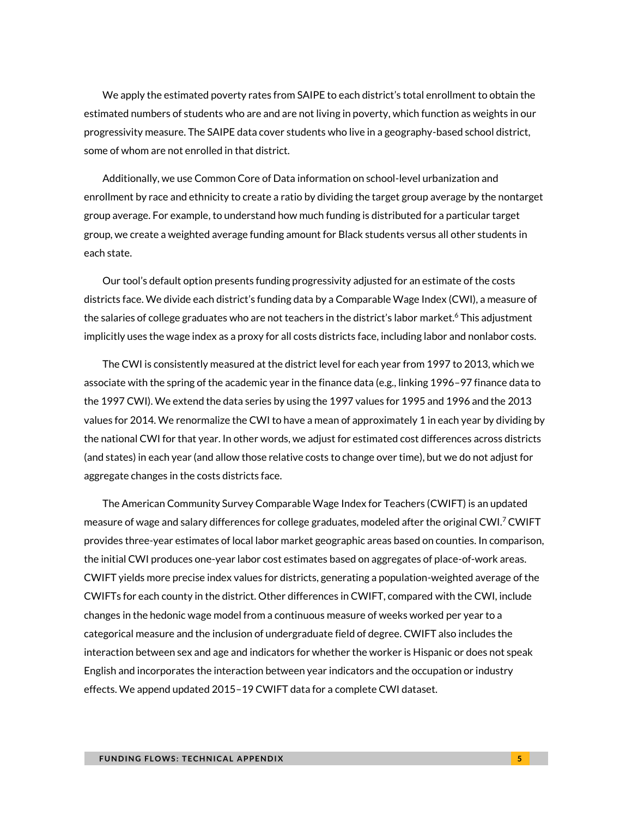We apply the estimated poverty rates from SAIPE to each district's total enrollment to obtain the estimated numbers of students who are and are not living in poverty, which function as weights in our progressivity measure. The SAIPE data cover students who live in a geography-based school district, some of whom are not enrolled in that district.

Additionally, we use Common Core of Data information on school-level urbanization and enrollment by race and ethnicity to create a ratio by dividing the target group average by the nontarget group average. For example, to understand how much funding is distributed for a particular target group, we create a weighted average funding amount for Black students versus all other students in each state.

Our tool's default option presents funding progressivity adjusted for an estimate of the costs districts face. We divide each district's funding data by a Comparable Wage Index (CWI), a measure of the salaries of college graduates who are not teachers in the district's labor market.<sup>6</sup> This adjustment implicitly uses the wage index as a proxy for all costs districts face, including labor and nonlabor costs.

The CWI is consistently measured at the district level for each year from 1997 to 2013, which we associate with the spring of the academic year in the finance data (e.g., linking 1996–97 finance data to the 1997 CWI). We extend the data series by using the 1997 values for 1995 and 1996 and the 2013 values for 2014. We renormalize the CWI to have a mean of approximately 1 in each year by dividing by the national CWI for that year. In other words, we adjust for estimated cost differences across districts (and states) in each year (and allow those relative costs to change over time), but we do not adjust for aggregate changes in the costs districts face.

The American Community Survey Comparable Wage Index for Teachers (CWIFT) is an updated measure of wage and salary differences for college graduates, modeled after the original CWI.<sup>7</sup> CWIFT provides three-year estimates of local labor market geographic areas based on counties. In comparison, the initial CWI produces one-year labor cost estimates based on aggregates of place-of-work areas. CWIFT yields more precise index values for districts, generating a population-weighted average of the CWIFTs for each county in the district. Other differences in CWIFT, compared with the CWI, include changes in the hedonic wage model from a continuous measure of weeks worked per year to a categorical measure and the inclusion of undergraduate field of degree. CWIFT also includes the interaction between sex and age and indicators for whether the worker is Hispanic or does not speak English and incorporates the interaction between year indicators and the occupation or industry effects. We append updated 2015–19 CWIFT data for a complete CWI dataset.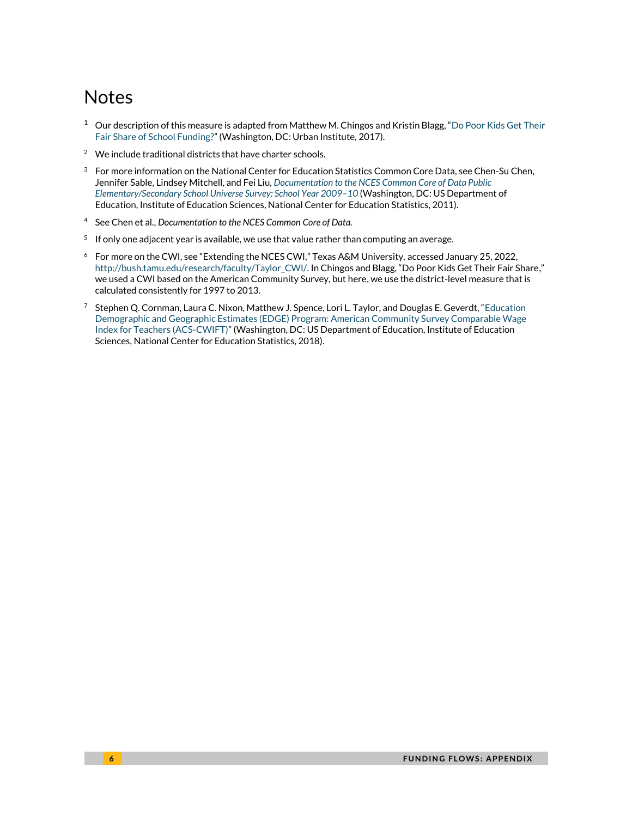# **Notes**

- $1$  Our description of this measure is adapted from Matthew M. Chingos and Kristin Blagg, "Do Poor Kids Get Their [Fair Share of School Funding?](https://www.urban.org/sites/default/files/publication/90586/school_funding_brief.pdf)" (Washington, DC: Urban Institute, 2017).
- <sup>2</sup> We include traditional districts that have charter schools.
- $3<sup>3</sup>$  For more information on the National Center for Education Statistics Common Core Data, see Chen-Su Chen, Jennifer Sable, Lindsey Mitchell, and Fei Liu, *[Documentation to the NCES Common Core of Data Public](https://nces.ed.gov/ccd/pdf/INsc09101a.pdf)  [Elementary/Secondary School Universe Survey: School Year 2009](https://nces.ed.gov/ccd/pdf/INsc09101a.pdf)–10* (Washington, DC: US Department of Education, Institute of Education Sciences, National Center for Education Statistics, 2011).
- <sup>4</sup> See Chen et al., *Documentation to the NCES Common Core of Data.*
- $^5$  If only one adjacent year is available, we use that value rather than computing an average.
- <sup>6</sup> For more on the CWI, see "Extending the NCES CWI," Texas A&M University, accessed January 25, 2022, http://bush.tamu.edu/research/faculty/Taylor\_CWI/. In Chingos and Blagg, "Do Poor Kids Get Their Fair Share," we used a CWI based on the American Community Survey, but here, we use the district-level measure that is calculated consistently for 1997 to 2013.
- <sup>7</sup> [Stephen](https://nces.ed.gov/programs/edge/docs/EDGE_ACS_CWIFT_FILEDOC.pdf) Q. Cornman, Laura C. Nixon, Matthew J. Spence, Lori L. Taylor, and Douglas E. Geverdt, "Education [Demographic and Geographic Estimates \(EDGE\) Program: American Community Survey Comparable Wage](https://nces.ed.gov/programs/edge/docs/EDGE_ACS_CWIFT_FILEDOC.pdf)  [Index for Teachers \(ACS-CWIFT\)](https://nces.ed.gov/programs/edge/docs/EDGE_ACS_CWIFT_FILEDOC.pdf)" (Washington, DC: US Department of Education, Institute of Education Sciences, National Center for Education Statistics, 2018).